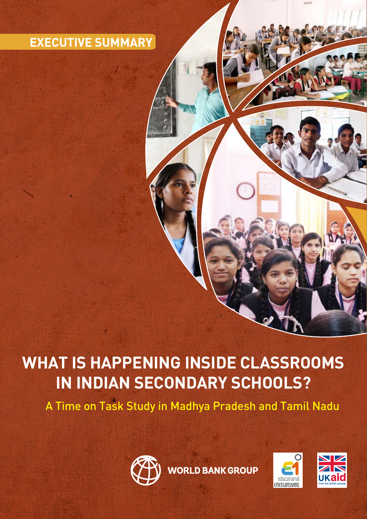## **Executive Summary**

# **What is happening inside classrooms in Indian secondary schools?**

A Time on Task Study in Madhya Pradesh and Tamil Nadu



**WORLD BANK GROUP** 



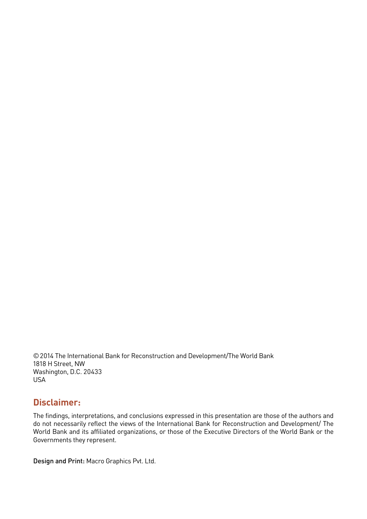©2014 The International Bank for Reconstruction and Development/The World Bank 1818 H Street, NW Washington, D.C. 20433 USA

### **Disclaimer:**

The findings, interpretations, and conclusions expressed in this presentation are those of the authors and do not necessarily reflect the views of the International Bank for Reconstruction and Development/ The World Bank and its affiliated organizations, or those of the Executive Directors of the World Bank or the Governments they represent.

Design and Print: Macro Graphics Pvt. Ltd.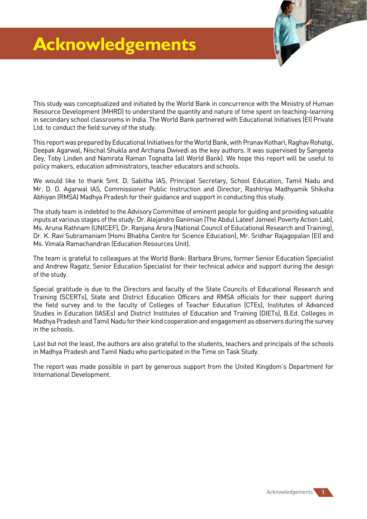This study was conceptualized and initiated by the World Bank in concurrence with the Ministry of Human Resource Development (MHRD) to understand the quantity and nature of time spent on teaching–learning in secondary school classrooms in India. The World Bank partnered with Educational Initiatives (EI) Private Ltd. to conduct the field survey of the study.

This report was prepared by Educational Initiatives for the World Bank, with Pranav Kothari, Raghav Rohatgi, Deepak Agarwal, Nischal Shukla and Archana Dwivedi as the key authors. It was supervised by Sangeeta Dey, Toby Linden and Namrata Raman Tognatta (all World Bank). We hope this report will be useful to policy makers, education administrators, teacher educators and schools.

We would like to thank Smt. D. Sabitha IAS, Principal Secretary, School Education, Tamil Nadu and Mr. D. D. Agarwal IAS, Commissioner Public Instruction and Director, Rashtriya Madhyamik Shiksha Abhiyan (RMSA) Madhya Pradesh for their guidance and support in conducting this study.

The study team is indebted to the Advisory Committee of eminent people for guiding and providing valuable inputs at various stages of the study: Dr. Alejandro Ganimian (The Abdul Lateef Jameel Poverty Action Lab), Ms. Aruna Rathnam (UNICEF), Dr. Ranjana Arora (National Council of Educational Research and Training), Dr. K. Ravi Subramaniam (Homi Bhabha Centre for Science Education), Mr. Sridhar Rajagopalan (EI) and Ms. Vimala Ramachandran (Education Resources Unit).

The team is grateful to colleagues at the World Bank: Barbara Bruns, former Senior Education Specialist and Andrew Ragatz, Senior Education Specialist for their technical advice and support during the design of the study.

Special gratitude is due to the Directors and faculty of the State Councils of Educational Research and Training (SCERTs), State and District Education Officers and RMSA officials for their support during the field survey and to the faculty of Colleges of Teacher Education (CTEs), Institutes of Advanced Studies in Education (IASEs) and District Institutes of Education and Training (DIETs), B.Ed. Colleges in Madhya Pradesh and Tamil Nadu for their kind cooperation and engagement as observers during the survey in the schools.

Last but not the least, the authors are also grateful to the students, teachers and principals of the schools in Madhya Pradesh and Tamil Nadu who participated in the Time on Task Study.

The report was made possible in part by generous support from the United Kingdom's Department for International Development.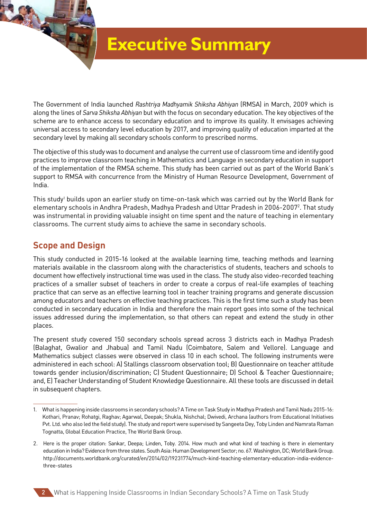

## **Executive Summary**

The Government of India launched *Rashtriya Madhyamik Shiksha Abhiyan* (RMSA) in March, 2009 which is along the lines of *Sarva Shiksha Abhiyan* but with the focus on secondary education. The key objectives of the scheme are to enhance access to secondary education and to improve its quality. It envisages achieving universal access to secondary level education by 2017, and improving quality of education imparted at the secondary level by making all secondary schools conform to prescribed norms.

The objective of this study was to document and analyse the current use of classroom time and identify good practices to improve classroom teaching in Mathematics and Language in secondary education in support of the implementation of the RMSA scheme. This study has been carried out as part of the World Bank's support to RMSA with concurrence from the Ministry of Human Resource Development, Government of India.

This study' builds upon an earlier study on time-on-task which was carried out by the World Bank for elementary schools in Andhra Pradesh, Madhya Pradesh and Uttar Pradesh in 2006-2007<sup>2</sup>. That study was instrumental in providing valuable insight on time spent and the nature of teaching in elementary classrooms. The current study aims to achieve the same in secondary schools.

## **Scope and Design**

This study conducted in 2015-16 looked at the available learning time, teaching methods and learning materials available in the classroom along with the characteristics of students, teachers and schools to document how effectively instructional time was used in the class. The study also video-recorded teaching practices of a smaller subset of teachers in order to create a corpus of real-life examples of teaching practice that can serve as an effective learning tool in teacher training programs and generate discussion among educators and teachers on effective teaching practices. This is the first time such a study has been conducted in secondary education in India and therefore the main report goes into some of the technical issues addressed during the implementation, so that others can repeat and extend the study in other places.

The present study covered 150 secondary schools spread across 3 districts each in Madhya Pradesh (Balaghat, Gwalior and Jhabua) and Tamil Nadu (Coimbatore, Salem and Vellore). Language and Mathematics subject classes were observed in class 10 in each school. The following instruments were administered in each school: A) Stallings classroom observation tool; B) Questionnaire on teacher attitude towards gender inclusion/discrimination; C) Student Questionnaire; D) School & Teacher Questionnaire; and, E) Teacher Understanding of Student Knowledge Questionnaire. All these tools are discussed in detail in subsequent chapters.

<sup>1.</sup> What is happening inside classrooms in secondary schools? A Time on Task Study in Madhya Pradesh and Tamil Nadu 2015-16: Kothari, Pranav; Rohatgi, Raghav; Agarwal, Deepak; Shukla, Nishchal; Dwivedi, Archana (authors from Educational Initiatives Pvt. Ltd. who also led the field study). The study and report were supervised by Sangeeta Dey, Toby Linden and Namrata Raman Tognatta, Global Education Practice, The World Bank Group.

<sup>2.</sup> Here is the proper citation: Sankar, Deepa; Linden, Toby. 2014. How much and what kind of teaching is there in elementary education in India? Evidence from three states. South Asia: Human Development Sector; no. 67. Washington, DC; World Bank Group. http://documents.worldbank.org/curated/en/2014/02/19231774/much-kind-teaching-elementary-education-india-evidencethree-states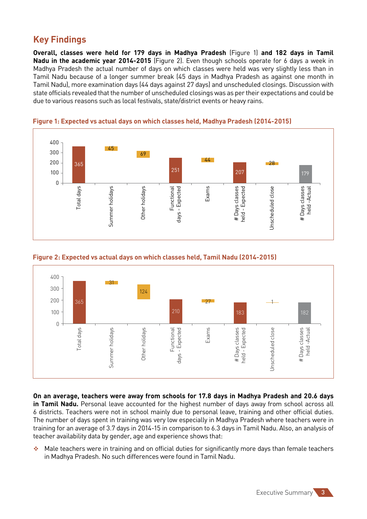## **Key Findings**

**Overall, classes were held for 179 days in Madhya Pradesh** (Figure 1) **and 182 days in Tamil Nadu in the academic year 2014-2015** (Figure 2). Even though schools operate for 6 days a week in Madhya Pradesh the actual number of days on which classes were held was very slightly less than in Tamil Nadu because of a longer summer break (45 days in Madhya Pradesh as against one month in Tamil Nadu), more examination days (44 days against 27 days) and unscheduled closings. Discussion with state officials revealed that the number of unscheduled closings was as per their expectations and could be due to various reasons such as local festivals, state/district events or heavy rains.



#### **Figure 1: Expected vs actual days on which classes held, Madhya Pradesh (2014-2015)**

#### **Figure 2: Expected vs actual days on which classes held, Tamil Nadu (2014-2015)**



**On an average, teachers were away from schools for 17.8 days in Madhya Pradesh and 20.6 days in Tamil Nadu.** Personal leave accounted for the highest number of days away from school across all 6 districts. Teachers were not in school mainly due to personal leave, training and other official duties. The number of days spent in training was very low especially in Madhya Pradesh where teachers were in training for an average of 3.7 days in 2014-15 in comparison to 6.3 days in Tamil Nadu. Also, an analysis of teacher availability data by gender, age and experience shows that:

 $\bullet$  Male teachers were in training and on official duties for significantly more days than female teachers in Madhya Pradesh. No such differences were found in Tamil Nadu.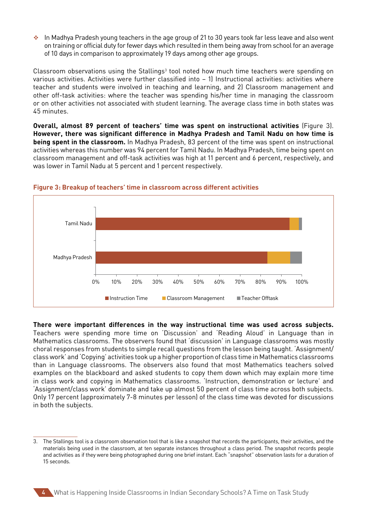**In Madhya Pradesh young teachers in the age group of 21 to 30 years took far less leave and also went** on training or official duty for fewer days which resulted in them being away from school for an average of 10 days in comparison to approximately 19 days among other age groups.

Classroom observations using the Stallings<sup>3</sup> tool noted how much time teachers were spending on various activities. Activities were further classified into – 1) Instructional activities: activities where teacher and students were involved in teaching and learning, and 2) Classroom management and other off-task activities: where the teacher was spending his/her time in managing the classroom or on other activities not associated with student learning. The average class time in both states was 45 minutes.

**Overall, almost 89 percent of teachers' time was spent on instructional activities** (Figure 3). **However, there was significant difference in Madhya Pradesh and Tamil Nadu on how time is being spent in the classroom.** In Madhya Pradesh, 83 percent of the time was spent on instructional activities whereas this number was 94 percent for Tamil Nadu. In Madhya Pradesh, time being spent on classroom management and off-task activities was high at 11 percent and 6 percent, respectively, and was lower in Tamil Nadu at 5 percent and 1 percent respectively.



#### **Figure 3: Breakup of teachers' time in classroom across different activities**

**There were important differences in the way instructional time was used across subjects.** Teachers were spending more time on 'Discussion' and 'Reading Aloud' in Language than in Mathematics classrooms. The observers found that 'discussion' in Language classrooms was mostly choral responses from students to simple recall questions from the lesson being taught. 'Assignment/ class work' and 'Copying' activities took up a higher proportion of class time in Mathematics classrooms than in Language classrooms. The observers also found that most Mathematics teachers solved examples on the blackboard and asked students to copy them down which may explain more time in class work and copying in Mathematics classrooms. 'Instruction, demonstration or lecture' and 'Assignment/class work' dominate and take up almost 50 percent of class time across both subjects. Only 17 percent (approximately 7-8 minutes per lesson) of the class time was devoted for discussions in both the subjects.

<sup>3.</sup> The Stallings tool is a classroom observation tool that is like a snapshot that records the participants, their activities, and the materials being used in the classroom, at ten separate instances throughout a class period. The snapshot records people and activities as if they were being photographed during one brief instant. Each "snapshot" observation lasts for a duration of 15 seconds.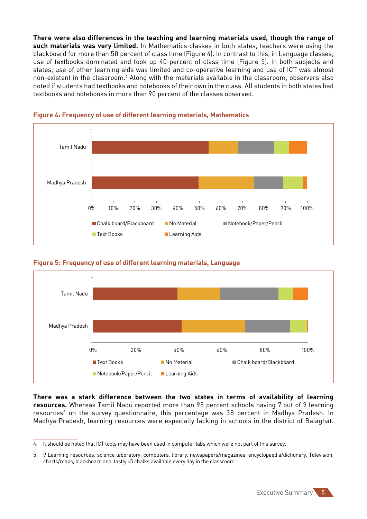**There were also differences in the teaching and learning materials used, though the range of such materials was very limited.** In Mathematics classes in both states, teachers were using the blackboard for more than 50 percent of class time (Figure 4). In contrast to this, in Language classes, use of textbooks dominated and took up 40 percent of class time (Figure 5). In both subjects and states, use of other learning aids was limited and co-operative learning and use of ICT was almost non-existent in the classroom.<sup>4</sup> Along with the materials available in the classroom, observers also noted if students had textbooks and notebooks of their own in the class. All students in both states had textbooks and notebooks in more than 90 percent of the classes observed.



#### **Figure 4: Frequency of use of different learning materials, Mathematics**





**There was a stark difference between the two states in terms of availability of learning resources.** Whereas Tamil Nadu reported more than 95 percent schools having 7 out of 9 learning resources<sup>5</sup> on the survey questionnaire, this percentage was 38 percent in Madhya Pradesh. In Madhya Pradesh, learning resources were especially lacking in schools in the district of Balaghat.

<sup>4.</sup> It should be noted that ICT tools may have been used in computer labs which were not part of this survey.

<sup>5. 9</sup> Learning resources: science laboratory, computers, library, newspapers/magazines, encyclopaedia/dictionary, Television, charts/maps, blackboard and lastly >5 chalks available every day in the classroom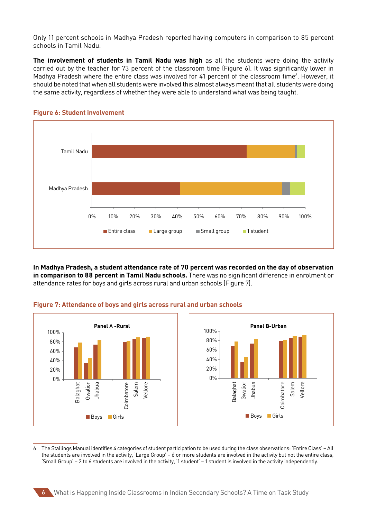Only 11 percent schools in Madhya Pradesh reported having computers in comparison to 85 percent schools in Tamil Nadu.

**The involvement of students in Tamil Nadu was high** as all the students were doing the activity carried out by the teacher for 73 percent of the classroom time (Figure 6). It was significantly lower in Madhya Pradesh where the entire class was involved for 41 percent of the classroom time<sup>6</sup>. However, it should be noted that when all students were involved this almost always meant that all students were doing the same activity, regardless of whether they were able to understand what was being taught.



#### **Figure 6: Student involvement**

**In Madhya Pradesh, a student attendance rate of 70 percent was recorded on the day of observation in comparison to 88 percent in Tamil Nadu schools.** There was no significant difference in enrolment or attendance rates for boys and girls across rural and urban schools (Figure 7).



#### **Figure 7: Attendance of boys and girls across rural and urban schools**

6 The Stallings Manual identifies 4 categories of student participation to be used during the class observations: 'Entire Class' – All the students are involved in the activity, 'Large Group' – 6 or more students are involved in the activity but not the entire class, 'Small Group' – 2 to 6 students are involved in the activity, '1 student' – 1 student is involved in the activity independently.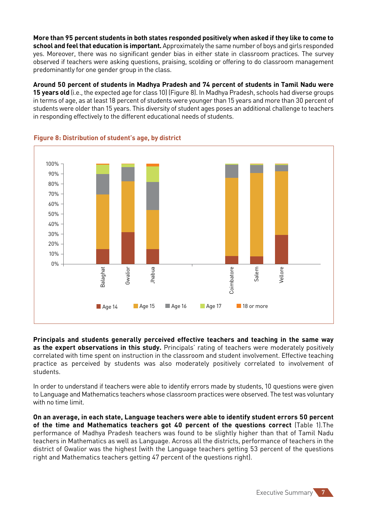**More than 95 percent students in both states responded positively when asked if they like to come to school and feel that education is important.** Approximately the same number of boys and girls responded yes. Moreover, there was no significant gender bias in either state in classroom practices. The survey observed if teachers were asking questions, praising, scolding or offering to do classroom management predominantly for one gender group in the class.

**Around 50 percent of students in Madhya Pradesh and 74 percent of students in Tamil Nadu were 15 years old** (i.e., the expected age for class 10) (Figure 8). In Madhya Pradesh, schools had diverse groups in terms of age, as at least 18 percent of students were younger than 15 years and more than 30 percent of students were older than 15 years. This diversity of student ages poses an additional challenge to teachers in responding effectively to the different educational needs of students.



#### **Figure 8: Distribution of student's age, by district**

**Principals and students generally perceived effective teachers and teaching in the same way as the expert observations in this study.** Principals' rating of teachers were moderately positively correlated with time spent on instruction in the classroom and student involvement. Effective teaching practice as perceived by students was also moderately positively correlated to involvement of students.

In order to understand if teachers were able to identify errors made by students, 10 questions were given to Language and Mathematics teachers whose classroom practices were observed. The test was voluntary with no time limit

**On an average, in each state, Language teachers were able to identify student errors 50 percent of the time and Mathematics teachers got 40 percent of the questions correct** (Table 1).The performance of Madhya Pradesh teachers was found to be slightly higher than that of Tamil Nadu teachers in Mathematics as well as Language. Across all the districts, performance of teachers in the district of Gwalior was the highest (with the Language teachers getting 53 percent of the questions right and Mathematics teachers getting 47 percent of the questions right).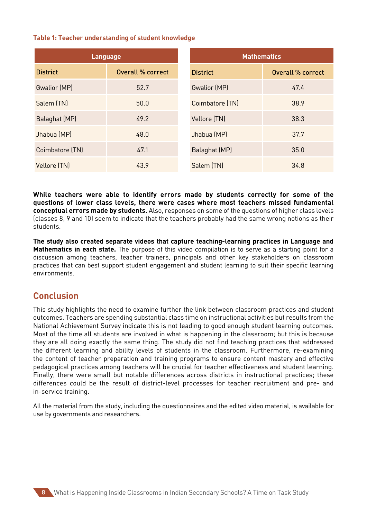#### **Table 1: Teacher understanding of student knowledge**

| <b>Language</b> |                   | <b>Mathematics</b> |                   |
|-----------------|-------------------|--------------------|-------------------|
| <b>District</b> | Overall % correct | <b>District</b>    | Overall % correct |
| Gwalior (MP)    | 52.7              | Gwalior (MP)       | 47.4              |
| Salem (TN)      | 50.0              | Coimbatore (TN)    | 38.9              |
| Balaghat (MP)   | 49.2              | Vellore (TN)       | 38.3              |
| Jhabua (MP)     | 48.0              | Jhabua (MP)        | 37.7              |
| Coimbatore (TN) | 47.1              | Balaghat (MP)      | 35.0              |
| Vellore (TN)    | 43.9              | Salem (TN)         | 34.8              |

**While teachers were able to identify errors made by students correctly for some of the questions of lower class levels, there were cases where most teachers missed fundamental conceptual errors made by students.** Also, responses on some of the questions of higher class levels (classes 8, 9 and 10) seem to indicate that the teachers probably had the same wrong notions as their students.

**The study also created separate videos that capture teaching-learning practices in Language and Mathematics in each state.** The purpose of this video compilation is to serve as a starting point for a discussion among teachers, teacher trainers, principals and other key stakeholders on classroom practices that can best support student engagement and student learning to suit their specific learning environments.

### **Conclusion**

This study highlights the need to examine further the link between classroom practices and student outcomes. Teachers are spending substantial class time on instructional activities but results from the National Achievement Survey indicate this is not leading to good enough student learning outcomes. Most of the time all students are involved in what is happening in the classroom; but this is because they are all doing exactly the same thing. The study did not find teaching practices that addressed the different learning and ability levels of students in the classroom. Furthermore, re-examining the content of teacher preparation and training programs to ensure content mastery and effective pedagogical practices among teachers will be crucial for teacher effectiveness and student learning. Finally, there were small but notable differences across districts in instructional practices; these differences could be the result of district-level processes for teacher recruitment and pre- and in-service training.

All the material from the study, including the questionnaires and the edited video material, is available for use by governments and researchers.